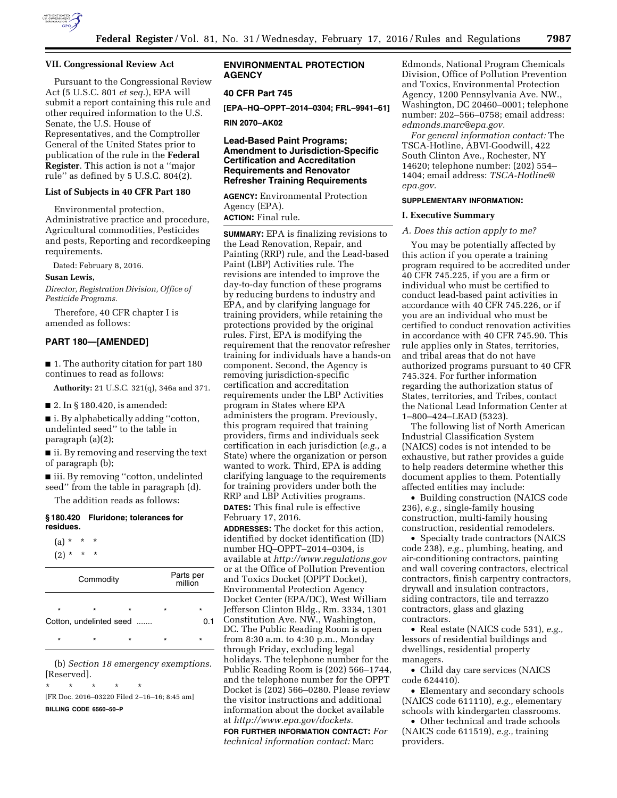

### **VII. Congressional Review Act**

Pursuant to the Congressional Review Act (5 U.S.C. 801 *et seq.*), EPA will submit a report containing this rule and other required information to the U.S. Senate, the U.S. House of Representatives, and the Comptroller General of the United States prior to publication of the rule in the **Federal Register**. This action is not a ''major rule'' as defined by 5 U.S.C. 804(2).

### **List of Subjects in 40 CFR Part 180**

Environmental protection, Administrative practice and procedure, Agricultural commodities, Pesticides and pests, Reporting and recordkeeping requirements.

Dated: February 8, 2016.

### **Susan Lewis,**

*Director, Registration Division, Office of Pesticide Programs.* 

Therefore, 40 CFR chapter I is amended as follows:

### **PART 180—[AMENDED]**

■ 1. The authority citation for part 180 continues to read as follows:

**Authority:** 21 U.S.C. 321(q), 346a and 371.

■ 2. In § 180.420, is amended:

■ i. By alphabetically adding "cotton, undelinted seed'' to the table in paragraph (a)(2);

■ ii. By removing and reserving the text of paragraph (b);

■ iii. By removing "cotton, undelinted seed'' from the table in paragraph (d).

The addition reads as follows:

### **§ 180.420 Fluridone; tolerances for residues.**

 $(a) * * * * *$  $(2) * * * * *$ 

| Commodity |                                    |         | Parts per<br>million |         |                |
|-----------|------------------------------------|---------|----------------------|---------|----------------|
| $\star$   | $\star$<br>Cotton, undelinted seed | $\star$ |                      | $\star$ | $\star$<br>0.1 |
| $\star$   | $\star$                            | $\star$ |                      | $\star$ | $\star$        |

(b) *Section 18 emergency exemptions.*  [Reserved].

 $\star$   $\star$ 

[FR Doc. 2016–03220 Filed 2–16–16; 8:45 am] **BILLING CODE 6560–50–P** 

## **ENVIRONMENTAL PROTECTION AGENCY**

## **40 CFR Part 745**

**[EPA–HQ–OPPT–2014–0304; FRL–9941–61]** 

**RIN 2070–AK02** 

## **Lead-Based Paint Programs; Amendment to Jurisdiction-Specific Certification and Accreditation Requirements and Renovator Refresher Training Requirements**

**AGENCY:** Environmental Protection Agency (EPA). **ACTION:** Final rule.

**SUMMARY:** EPA is finalizing revisions to the Lead Renovation, Repair, and Painting (RRP) rule, and the Lead-based Paint (LBP) Activities rule. The revisions are intended to improve the day-to-day function of these programs by reducing burdens to industry and EPA, and by clarifying language for training providers, while retaining the protections provided by the original rules. First, EPA is modifying the requirement that the renovator refresher training for individuals have a hands-on component. Second, the Agency is removing jurisdiction-specific certification and accreditation requirements under the LBP Activities program in States where EPA administers the program. Previously, this program required that training providers, firms and individuals seek certification in each jurisdiction (*e.g.,* a State) where the organization or person wanted to work. Third, EPA is adding clarifying language to the requirements for training providers under both the RRP and LBP Activities programs.

**DATES:** This final rule is effective February 17, 2016.

**ADDRESSES:** The docket for this action, identified by docket identification (ID) number HQ–OPPT–2014–0304, is available at *<http://www.regulations.gov>* or at the Office of Pollution Prevention and Toxics Docket (OPPT Docket), Environmental Protection Agency Docket Center (EPA/DC), West William Jefferson Clinton Bldg., Rm. 3334, 1301 Constitution Ave. NW., Washington, DC. The Public Reading Room is open from 8:30 a.m. to 4:30 p.m., Monday through Friday, excluding legal holidays. The telephone number for the Public Reading Room is (202) 566–1744, and the telephone number for the OPPT Docket is (202) 566–0280. Please review the visitor instructions and additional information about the docket available at *[http://www.epa.gov/dockets.](http://www.epa.gov/dockets)* 

**FOR FURTHER INFORMATION CONTACT:** *For technical information contact:* Marc

Edmonds, National Program Chemicals Division, Office of Pollution Prevention and Toxics, Environmental Protection Agency, 1200 Pennsylvania Ave. NW., Washington, DC 20460–0001; telephone number: 202–566–0758; email address: *[edmonds.marc@epa.gov.](mailto:edmonds.marc@epa.gov)* 

*For general information contact:* The TSCA-Hotline, ABVI-Goodwill, 422 South Clinton Ave., Rochester, NY 14620; telephone number: (202) 554– 1404; email address: *[TSCA-Hotline@](mailto:TSCA-Hotline@epa.gov) [epa.gov.](mailto:TSCA-Hotline@epa.gov)* 

### **SUPPLEMENTARY INFORMATION:**

## **I. Executive Summary**

# *A. Does this action apply to me?*

You may be potentially affected by this action if you operate a training program required to be accredited under 40 CFR 745.225, if you are a firm or individual who must be certified to conduct lead-based paint activities in accordance with 40 CFR 745.226, or if you are an individual who must be certified to conduct renovation activities in accordance with 40 CFR 745.90. This rule applies only in States, territories, and tribal areas that do not have authorized programs pursuant to 40 CFR 745.324. For further information regarding the authorization status of States, territories, and Tribes, contact the National Lead Information Center at 1–800–424–LEAD (5323).

The following list of North American Industrial Classification System (NAICS) codes is not intended to be exhaustive, but rather provides a guide to help readers determine whether this document applies to them. Potentially affected entities may include:

• Building construction (NAICS code 236), *e.g.,* single-family housing construction, multi-family housing construction, residential remodelers.

• Specialty trade contractors (NAICS code 238), *e.g.,* plumbing, heating, and air-conditioning contractors, painting and wall covering contractors, electrical contractors, finish carpentry contractors, drywall and insulation contractors, siding contractors, tile and terrazzo contractors, glass and glazing contractors.

• Real estate (NAICS code 531), *e.g.,*  lessors of residential buildings and dwellings, residential property managers.

• Child day care services (NAICS code 624410).

• Elementary and secondary schools (NAICS code 611110), *e.g.,* elementary schools with kindergarten classrooms.

• Other technical and trade schools (NAICS code 611519), *e.g.,* training providers.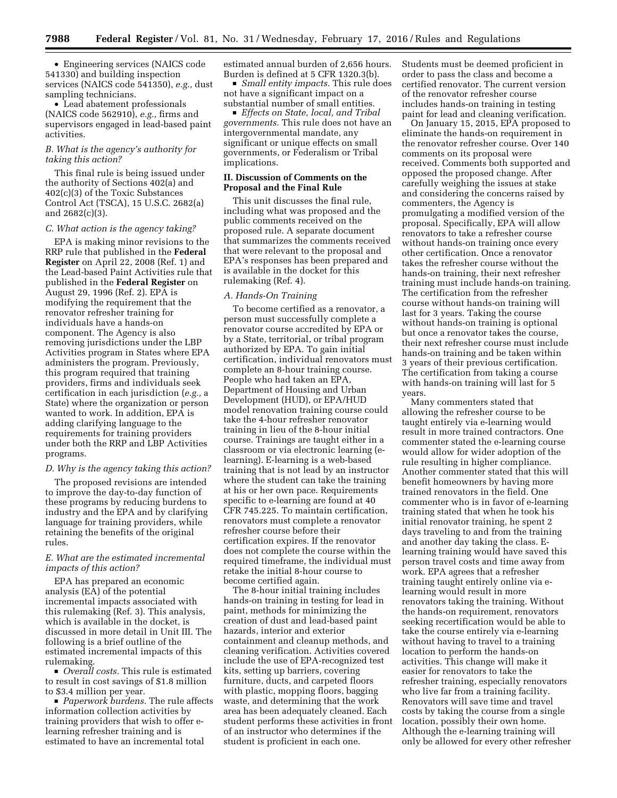• Engineering services (NAICS code 541330) and building inspection services (NAICS code 541350), *e.g.,* dust sampling technicians.

• Lead abatement professionals (NAICS code 562910), *e.g.,* firms and supervisors engaged in lead-based paint activities.

## *B. What is the agency's authority for taking this action?*

This final rule is being issued under the authority of Sections 402(a) and 402(c)(3) of the Toxic Substances Control Act (TSCA), 15 U.S.C. 2682(a) and 2682(c)(3).

## *C. What action is the agency taking?*

EPA is making minor revisions to the RRP rule that published in the **Federal Register** on April 22, 2008 (Ref. 1) and the Lead-based Paint Activities rule that published in the **Federal Register** on August 29, 1996 (Ref. 2). EPA is modifying the requirement that the renovator refresher training for individuals have a hands-on component. The Agency is also removing jurisdictions under the LBP Activities program in States where EPA administers the program. Previously, this program required that training providers, firms and individuals seek certification in each jurisdiction (*e.g.,* a State) where the organization or person wanted to work. In addition, EPA is adding clarifying language to the requirements for training providers under both the RRP and LBP Activities programs.

### *D. Why is the agency taking this action?*

The proposed revisions are intended to improve the day-to-day function of these programs by reducing burdens to industry and the EPA and by clarifying language for training providers, while retaining the benefits of the original rules.

## *E. What are the estimated incremental impacts of this action?*

EPA has prepared an economic analysis (EA) of the potential incremental impacts associated with this rulemaking (Ref. 3). This analysis, which is available in the docket, is discussed in more detail in Unit III. The following is a brief outline of the estimated incremental impacts of this rulemaking.

■ *Overall costs.* This rule is estimated to result in cost savings of \$1.8 million to \$3.4 million per year.

■ *Paperwork burdens.* The rule affects information collection activities by training providers that wish to offer elearning refresher training and is estimated to have an incremental total

estimated annual burden of 2,656 hours. Burden is defined at 5 CFR 1320.3(b).

■ *Small entity impacts.* This rule does not have a significant impact on a substantial number of small entities.

D *Effects on State, local, and Tribal governments.* This rule does not have an intergovernmental mandate, any significant or unique effects on small governments, or Federalism or Tribal implications.

### **II. Discussion of Comments on the Proposal and the Final Rule**

This unit discusses the final rule, including what was proposed and the public comments received on the proposed rule. A separate document that summarizes the comments received that were relevant to the proposal and EPA's responses has been prepared and is available in the docket for this rulemaking (Ref. 4).

### *A. Hands-On Training*

To become certified as a renovator, a person must successfully complete a renovator course accredited by EPA or by a State, territorial, or tribal program authorized by EPA. To gain initial certification, individual renovators must complete an 8-hour training course. People who had taken an EPA, Department of Housing and Urban Development (HUD), or EPA/HUD model renovation training course could take the 4-hour refresher renovator training in lieu of the 8-hour initial course. Trainings are taught either in a classroom or via electronic learning (elearning). E-learning is a web-based training that is not lead by an instructor where the student can take the training at his or her own pace. Requirements specific to e-learning are found at 40 CFR 745.225. To maintain certification, renovators must complete a renovator refresher course before their certification expires. If the renovator does not complete the course within the required timeframe, the individual must retake the initial 8-hour course to become certified again.

The 8-hour initial training includes hands-on training in testing for lead in paint, methods for minimizing the creation of dust and lead-based paint hazards, interior and exterior containment and cleanup methods, and cleaning verification. Activities covered include the use of EPA-recognized test kits, setting up barriers, covering furniture, ducts, and carpeted floors with plastic, mopping floors, bagging waste, and determining that the work area has been adequately cleaned. Each student performs these activities in front of an instructor who determines if the student is proficient in each one.

Students must be deemed proficient in order to pass the class and become a certified renovator. The current version of the renovator refresher course includes hands-on training in testing paint for lead and cleaning verification.

On January 15, 2015, EPA proposed to eliminate the hands-on requirement in the renovator refresher course. Over 140 comments on its proposal were received. Comments both supported and opposed the proposed change. After carefully weighing the issues at stake and considering the concerns raised by commenters, the Agency is promulgating a modified version of the proposal. Specifically, EPA will allow renovators to take a refresher course without hands-on training once every other certification. Once a renovator takes the refresher course without the hands-on training, their next refresher training must include hands-on training. The certification from the refresher course without hands-on training will last for 3 years. Taking the course without hands-on training is optional but once a renovator takes the course, their next refresher course must include hands-on training and be taken within 3 years of their previous certification. The certification from taking a course with hands-on training will last for 5 years.

Many commenters stated that allowing the refresher course to be taught entirely via e-learning would result in more trained contractors. One commenter stated the e-learning course would allow for wider adoption of the rule resulting in higher compliance. Another commenter stated that this will benefit homeowners by having more trained renovators in the field. One commenter who is in favor of e-learning training stated that when he took his initial renovator training, he spent 2 days traveling to and from the training and another day taking the class. Elearning training would have saved this person travel costs and time away from work. EPA agrees that a refresher training taught entirely online via elearning would result in more renovators taking the training. Without the hands-on requirement, renovators seeking recertification would be able to take the course entirely via e-learning without having to travel to a training location to perform the hands-on activities. This change will make it easier for renovators to take the refresher training, especially renovators who live far from a training facility. Renovators will save time and travel costs by taking the course from a single location, possibly their own home. Although the e-learning training will only be allowed for every other refresher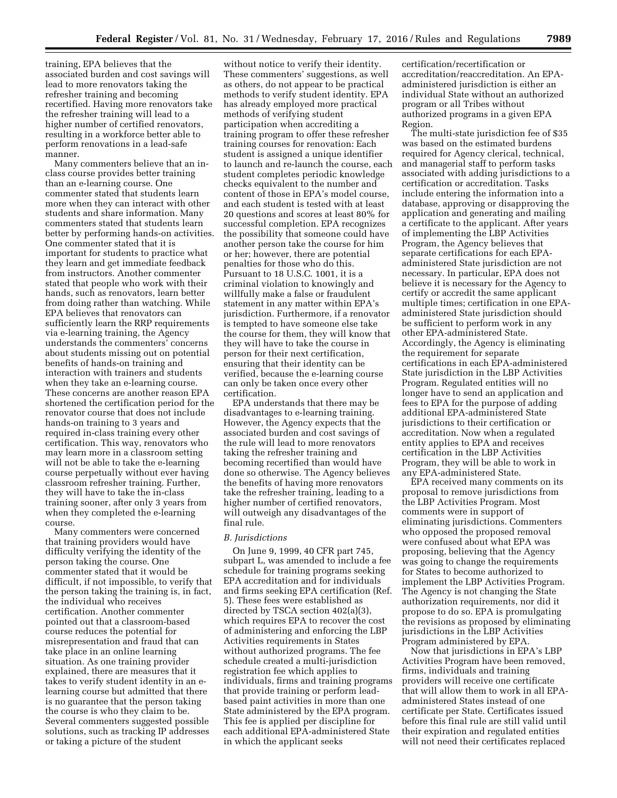training, EPA believes that the associated burden and cost savings will lead to more renovators taking the refresher training and becoming recertified. Having more renovators take the refresher training will lead to a higher number of certified renovators, resulting in a workforce better able to perform renovations in a lead-safe manner.

Many commenters believe that an inclass course provides better training than an e-learning course. One commenter stated that students learn more when they can interact with other students and share information. Many commenters stated that students learn better by performing hands-on activities. One commenter stated that it is important for students to practice what they learn and get immediate feedback from instructors. Another commenter stated that people who work with their hands, such as renovators, learn better from doing rather than watching. While EPA believes that renovators can sufficiently learn the RRP requirements via e-learning training, the Agency understands the commenters' concerns about students missing out on potential benefits of hands-on training and interaction with trainers and students when they take an e-learning course. These concerns are another reason EPA shortened the certification period for the renovator course that does not include hands-on training to 3 years and required in-class training every other certification. This way, renovators who may learn more in a classroom setting will not be able to take the e-learning course perpetually without ever having classroom refresher training. Further, they will have to take the in-class training sooner, after only 3 years from when they completed the e-learning course.

Many commenters were concerned that training providers would have difficulty verifying the identity of the person taking the course. One commenter stated that it would be difficult, if not impossible, to verify that the person taking the training is, in fact, the individual who receives certification. Another commenter pointed out that a classroom-based course reduces the potential for misrepresentation and fraud that can take place in an online learning situation. As one training provider explained, there are measures that it takes to verify student identity in an elearning course but admitted that there is no guarantee that the person taking the course is who they claim to be. Several commenters suggested possible solutions, such as tracking IP addresses or taking a picture of the student

without notice to verify their identity. These commenters' suggestions, as well as others, do not appear to be practical methods to verify student identity. EPA has already employed more practical methods of verifying student participation when accrediting a training program to offer these refresher training courses for renovation: Each student is assigned a unique identifier to launch and re-launch the course, each student completes periodic knowledge checks equivalent to the number and content of those in EPA's model course, and each student is tested with at least 20 questions and scores at least 80% for successful completion. EPA recognizes the possibility that someone could have another person take the course for him or her; however, there are potential penalties for those who do this. Pursuant to 18 U.S.C. 1001, it is a criminal violation to knowingly and willfully make a false or fraudulent statement in any matter within EPA's jurisdiction. Furthermore, if a renovator is tempted to have someone else take the course for them, they will know that they will have to take the course in person for their next certification, ensuring that their identity can be verified, because the e-learning course can only be taken once every other certification.

EPA understands that there may be disadvantages to e-learning training. However, the Agency expects that the associated burden and cost savings of the rule will lead to more renovators taking the refresher training and becoming recertified than would have done so otherwise. The Agency believes the benefits of having more renovators take the refresher training, leading to a higher number of certified renovators, will outweigh any disadvantages of the final rule.

### *B. Jurisdictions*

On June 9, 1999, 40 CFR part 745, subpart L, was amended to include a fee schedule for training programs seeking EPA accreditation and for individuals and firms seeking EPA certification (Ref. 5). These fees were established as directed by TSCA section 402(a)(3), which requires EPA to recover the cost of administering and enforcing the LBP Activities requirements in States without authorized programs. The fee schedule created a multi-jurisdiction registration fee which applies to individuals, firms and training programs that provide training or perform leadbased paint activities in more than one State administered by the EPA program. This fee is applied per discipline for each additional EPA-administered State in which the applicant seeks

certification/recertification or accreditation/reaccreditation. An EPAadministered jurisdiction is either an individual State without an authorized program or all Tribes without authorized programs in a given EPA Region.

The multi-state jurisdiction fee of \$35 was based on the estimated burdens required for Agency clerical, technical, and managerial staff to perform tasks associated with adding jurisdictions to a certification or accreditation. Tasks include entering the information into a database, approving or disapproving the application and generating and mailing a certificate to the applicant. After years of implementing the LBP Activities Program, the Agency believes that separate certifications for each EPAadministered State jurisdiction are not necessary. In particular, EPA does not believe it is necessary for the Agency to certify or accredit the same applicant multiple times; certification in one EPAadministered State jurisdiction should be sufficient to perform work in any other EPA-administered State. Accordingly, the Agency is eliminating the requirement for separate certifications in each EPA-administered State jurisdiction in the LBP Activities Program. Regulated entities will no longer have to send an application and fees to EPA for the purpose of adding additional EPA-administered State jurisdictions to their certification or accreditation. Now when a regulated entity applies to EPA and receives certification in the LBP Activities Program, they will be able to work in any EPA-administered State.

EPA received many comments on its proposal to remove jurisdictions from the LBP Activities Program. Most comments were in support of eliminating jurisdictions. Commenters who opposed the proposed removal were confused about what EPA was proposing, believing that the Agency was going to change the requirements for States to become authorized to implement the LBP Activities Program. The Agency is not changing the State authorization requirements, nor did it propose to do so. EPA is promulgating the revisions as proposed by eliminating jurisdictions in the LBP Activities Program administered by EPA.

Now that jurisdictions in EPA's LBP Activities Program have been removed, firms, individuals and training providers will receive one certificate that will allow them to work in all EPAadministered States instead of one certificate per State. Certificates issued before this final rule are still valid until their expiration and regulated entities will not need their certificates replaced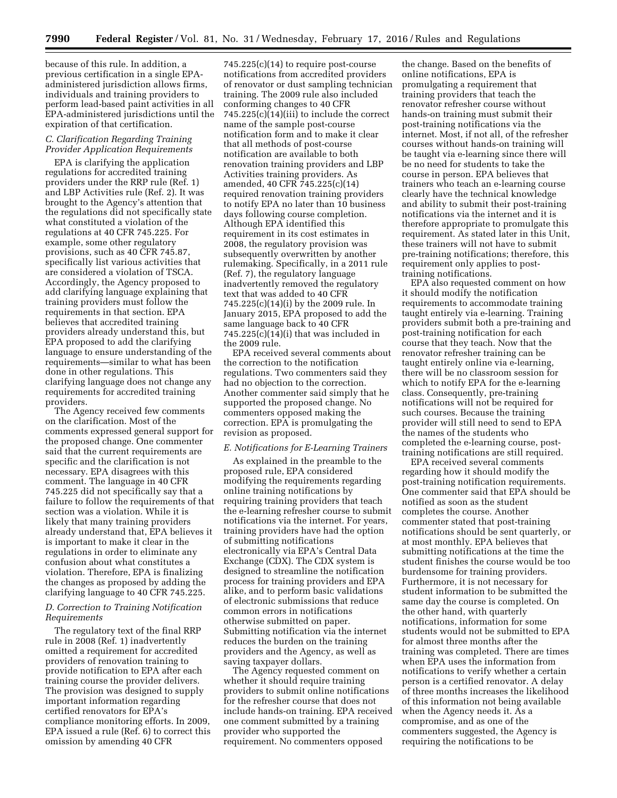because of this rule. In addition, a previous certification in a single EPAadministered jurisdiction allows firms, individuals and training providers to perform lead-based paint activities in all EPA-administered jurisdictions until the expiration of that certification.

### *C. Clarification Regarding Training Provider Application Requirements*

EPA is clarifying the application regulations for accredited training providers under the RRP rule (Ref. 1) and LBP Activities rule (Ref. 2). It was brought to the Agency's attention that the regulations did not specifically state what constituted a violation of the regulations at 40 CFR 745.225. For example, some other regulatory provisions, such as 40 CFR 745.87, specifically list various activities that are considered a violation of TSCA. Accordingly, the Agency proposed to add clarifying language explaining that training providers must follow the requirements in that section. EPA believes that accredited training providers already understand this, but EPA proposed to add the clarifying language to ensure understanding of the requirements—similar to what has been done in other regulations. This clarifying language does not change any requirements for accredited training providers.

The Agency received few comments on the clarification. Most of the comments expressed general support for the proposed change. One commenter said that the current requirements are specific and the clarification is not necessary. EPA disagrees with this comment. The language in 40 CFR 745.225 did not specifically say that a failure to follow the requirements of that section was a violation. While it is likely that many training providers already understand that, EPA believes it is important to make it clear in the regulations in order to eliminate any confusion about what constitutes a violation. Therefore, EPA is finalizing the changes as proposed by adding the clarifying language to 40 CFR 745.225.

### *D. Correction to Training Notification Requirements*

The regulatory text of the final RRP rule in 2008 (Ref. 1) inadvertently omitted a requirement for accredited providers of renovation training to provide notification to EPA after each training course the provider delivers. The provision was designed to supply important information regarding certified renovators for EPA's compliance monitoring efforts. In 2009, EPA issued a rule (Ref. 6) to correct this omission by amending 40 CFR

745.225(c)(14) to require post-course notifications from accredited providers of renovator or dust sampling technician training. The 2009 rule also included conforming changes to 40 CFR 745.225(c)(14)(iii) to include the correct name of the sample post-course notification form and to make it clear that all methods of post-course notification are available to both renovation training providers and LBP Activities training providers. As amended, 40 CFR 745.225(c)(14) required renovation training providers to notify EPA no later than 10 business days following course completion. Although EPA identified this requirement in its cost estimates in 2008, the regulatory provision was subsequently overwritten by another rulemaking. Specifically, in a 2011 rule (Ref. 7), the regulatory language inadvertently removed the regulatory text that was added to 40 CFR 745.225(c)(14)(i) by the 2009 rule. In January 2015, EPA proposed to add the same language back to 40 CFR 745.225(c)(14)(i) that was included in the 2009 rule.

EPA received several comments about the correction to the notification regulations. Two commenters said they had no objection to the correction. Another commenter said simply that he supported the proposed change. No commenters opposed making the correction. EPA is promulgating the revision as proposed.

### *E. Notifications for E-Learning Trainers*

As explained in the preamble to the proposed rule, EPA considered modifying the requirements regarding online training notifications by requiring training providers that teach the e-learning refresher course to submit notifications via the internet. For years, training providers have had the option of submitting notifications electronically via EPA's Central Data Exchange (CDX). The CDX system is designed to streamline the notification process for training providers and EPA alike, and to perform basic validations of electronic submissions that reduce common errors in notifications otherwise submitted on paper. Submitting notification via the internet reduces the burden on the training providers and the Agency, as well as saving taxpayer dollars.

The Agency requested comment on whether it should require training providers to submit online notifications for the refresher course that does not include hands-on training. EPA received one comment submitted by a training provider who supported the requirement. No commenters opposed

the change. Based on the benefits of online notifications, EPA is promulgating a requirement that training providers that teach the renovator refresher course without hands-on training must submit their post-training notifications via the internet. Most, if not all, of the refresher courses without hands-on training will be taught via e-learning since there will be no need for students to take the course in person. EPA believes that trainers who teach an e-learning course clearly have the technical knowledge and ability to submit their post-training notifications via the internet and it is therefore appropriate to promulgate this requirement. As stated later in this Unit, these trainers will not have to submit pre-training notifications; therefore, this requirement only applies to posttraining notifications.

EPA also requested comment on how it should modify the notification requirements to accommodate training taught entirely via e-learning. Training providers submit both a pre-training and post-training notification for each course that they teach. Now that the renovator refresher training can be taught entirely online via e-learning, there will be no classroom session for which to notify EPA for the e-learning class. Consequently, pre-training notifications will not be required for such courses. Because the training provider will still need to send to EPA the names of the students who completed the e-learning course, posttraining notifications are still required.

EPA received several comments regarding how it should modify the post-training notification requirements. One commenter said that EPA should be notified as soon as the student completes the course. Another commenter stated that post-training notifications should be sent quarterly, or at most monthly. EPA believes that submitting notifications at the time the student finishes the course would be too burdensome for training providers. Furthermore, it is not necessary for student information to be submitted the same day the course is completed. On the other hand, with quarterly notifications, information for some students would not be submitted to EPA for almost three months after the training was completed. There are times when EPA uses the information from notifications to verify whether a certain person is a certified renovator. A delay of three months increases the likelihood of this information not being available when the Agency needs it. As a compromise, and as one of the commenters suggested, the Agency is requiring the notifications to be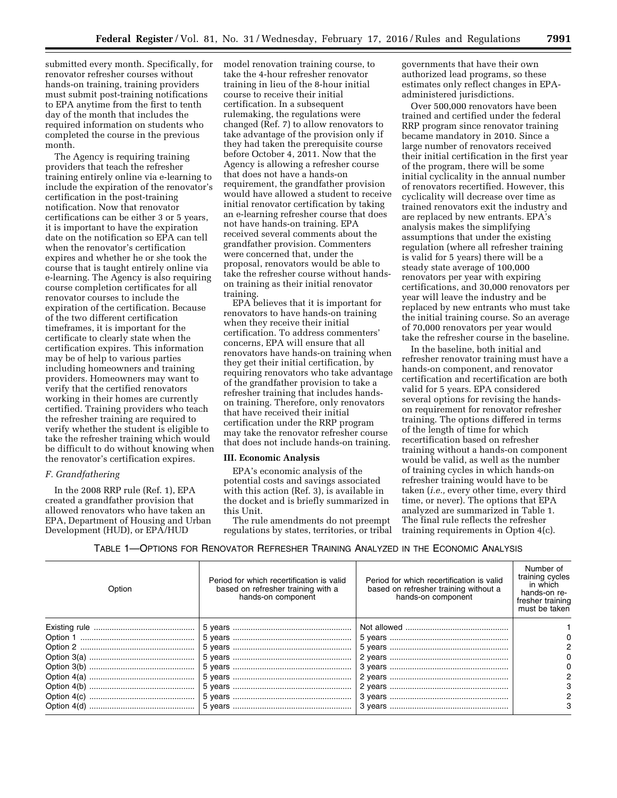submitted every month. Specifically, for renovator refresher courses without hands-on training, training providers must submit post-training notifications to EPA anytime from the first to tenth day of the month that includes the required information on students who completed the course in the previous month.

The Agency is requiring training providers that teach the refresher training entirely online via e-learning to include the expiration of the renovator's certification in the post-training notification. Now that renovator certifications can be either 3 or 5 years, it is important to have the expiration date on the notification so EPA can tell when the renovator's certification expires and whether he or she took the course that is taught entirely online via e-learning. The Agency is also requiring course completion certificates for all renovator courses to include the expiration of the certification. Because of the two different certification timeframes, it is important for the certificate to clearly state when the certification expires. This information may be of help to various parties including homeowners and training providers. Homeowners may want to verify that the certified renovators working in their homes are currently certified. Training providers who teach the refresher training are required to verify whether the student is eligible to take the refresher training which would be difficult to do without knowing when the renovator's certification expires.

### *F. Grandfathering*

In the 2008 RRP rule (Ref. 1), EPA created a grandfather provision that allowed renovators who have taken an EPA, Department of Housing and Urban Development (HUD), or EPA/HUD

model renovation training course, to take the 4-hour refresher renovator training in lieu of the 8-hour initial course to receive their initial certification. In a subsequent rulemaking, the regulations were changed (Ref. 7) to allow renovators to take advantage of the provision only if they had taken the prerequisite course before October 4, 2011. Now that the Agency is allowing a refresher course that does not have a hands-on requirement, the grandfather provision would have allowed a student to receive initial renovator certification by taking an e-learning refresher course that does not have hands-on training. EPA received several comments about the grandfather provision. Commenters were concerned that, under the proposal, renovators would be able to take the refresher course without handson training as their initial renovator training.

EPA believes that it is important for renovators to have hands-on training when they receive their initial certification. To address commenters' concerns, EPA will ensure that all renovators have hands-on training when they get their initial certification, by requiring renovators who take advantage of the grandfather provision to take a refresher training that includes handson training. Therefore, only renovators that have received their initial certification under the RRP program may take the renovator refresher course that does not include hands-on training.

### **III. Economic Analysis**

EPA's economic analysis of the potential costs and savings associated with this action (Ref. 3), is available in the docket and is briefly summarized in this Unit.

The rule amendments do not preempt regulations by states, territories, or tribal governments that have their own authorized lead programs, so these estimates only reflect changes in EPAadministered jurisdictions.

Over 500,000 renovators have been trained and certified under the federal RRP program since renovator training became mandatory in 2010. Since a large number of renovators received their initial certification in the first year of the program, there will be some initial cyclicality in the annual number of renovators recertified. However, this cyclicality will decrease over time as trained renovators exit the industry and are replaced by new entrants. EPA's analysis makes the simplifying assumptions that under the existing regulation (where all refresher training is valid for 5 years) there will be a steady state average of 100,000 renovators per year with expiring certifications, and 30,000 renovators per year will leave the industry and be replaced by new entrants who must take the initial training course. So an average of 70,000 renovators per year would take the refresher course in the baseline.

In the baseline, both initial and refresher renovator training must have a hands-on component, and renovator certification and recertification are both valid for 5 years. EPA considered several options for revising the handson requirement for renovator refresher training. The options differed in terms of the length of time for which recertification based on refresher training without a hands-on component would be valid, as well as the number of training cycles in which hands-on refresher training would have to be taken (*i.e.,* every other time, every third time, or never). The options that EPA analyzed are summarized in Table 1. The final rule reflects the refresher training requirements in Option 4(c).

TABLE 1—OPTIONS FOR RENOVATOR REFRESHER TRAINING ANALYZED IN THE ECONOMIC ANALYSIS

| Option | Period for which recertification is valid<br>based on refresher training with a<br>hands-on component | Period for which recertification is valid<br>based on refresher training without a<br>hands-on component | Number of<br>training cycles<br>in which<br>hands-on re-<br>fresher training<br>must be taken |
|--------|-------------------------------------------------------------------------------------------------------|----------------------------------------------------------------------------------------------------------|-----------------------------------------------------------------------------------------------|
|        |                                                                                                       |                                                                                                          |                                                                                               |
|        |                                                                                                       |                                                                                                          | 0                                                                                             |
|        |                                                                                                       |                                                                                                          | 2                                                                                             |
|        |                                                                                                       |                                                                                                          | 0                                                                                             |
|        |                                                                                                       |                                                                                                          | 0                                                                                             |
|        |                                                                                                       |                                                                                                          | 2                                                                                             |
|        |                                                                                                       |                                                                                                          | 3                                                                                             |
|        |                                                                                                       |                                                                                                          |                                                                                               |
|        |                                                                                                       |                                                                                                          | 3                                                                                             |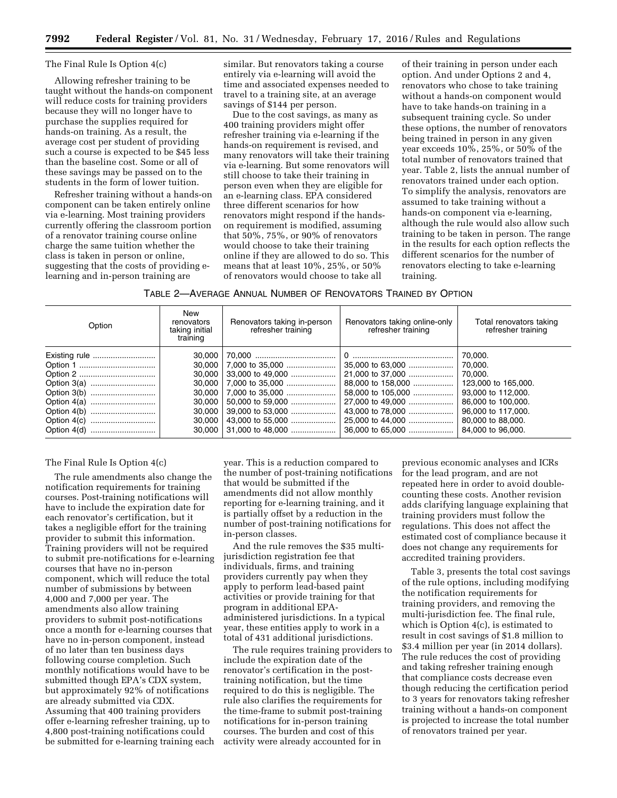### The Final Rule Is Option 4(c)

Allowing refresher training to be taught without the hands-on component will reduce costs for training providers because they will no longer have to purchase the supplies required for hands-on training. As a result, the average cost per student of providing such a course is expected to be \$45 less than the baseline cost. Some or all of these savings may be passed on to the students in the form of lower tuition.

Refresher training without a hands-on component can be taken entirely online via e-learning. Most training providers currently offering the classroom portion of a renovator training course online charge the same tuition whether the class is taken in person or online, suggesting that the costs of providing elearning and in-person training are

similar. But renovators taking a course entirely via e-learning will avoid the time and associated expenses needed to travel to a training site, at an average savings of \$144 per person.

Due to the cost savings, as many as 400 training providers might offer refresher training via e-learning if the hands-on requirement is revised, and many renovators will take their training via e-learning. But some renovators will still choose to take their training in person even when they are eligible for an e-learning class. EPA considered three different scenarios for how renovators might respond if the handson requirement is modified, assuming that 50%, 75%, or 90% of renovators would choose to take their training online if they are allowed to do so. This means that at least 10%, 25%, or 50% of renovators would choose to take all

of their training in person under each option. And under Options 2 and 4, renovators who chose to take training without a hands-on component would have to take hands-on training in a subsequent training cycle. So under these options, the number of renovators being trained in person in any given year exceeds 10%, 25%, or 50% of the total number of renovators trained that year. Table 2, lists the annual number of renovators trained under each option. To simplify the analysis, renovators are assumed to take training without a hands-on component via e-learning, although the rule would also allow such training to be taken in person. The range in the results for each option reflects the different scenarios for the number of renovators electing to take e-learning training.

TABLE 2—AVERAGE ANNUAL NUMBER OF RENOVATORS TRAINED BY OPTION

| Option | New<br>renovators<br>taking initial<br>training | Renovators taking in-person<br>refresher training | Renovators taking online-only<br>refresher training | Total renovators taking<br>refresher training |
|--------|-------------------------------------------------|---------------------------------------------------|-----------------------------------------------------|-----------------------------------------------|
|        | 30.000                                          |                                                   |                                                     | 70.000.                                       |
|        | 30.000                                          | 7,000 to 35,000                                   | 35,000 to 63,000                                    | 70.000.                                       |
|        | 30.000                                          | $33.000$ to 49.000                                | 21,000 to 37,000                                    | 70.000.                                       |
|        | 30.000                                          | 7.000 to 35.000                                   | 88,000 to 158,000                                   | 123,000 to 165,000.                           |
|        | 30.000                                          | 7,000 to 35,000                                   | 58,000 to 105,000                                   | 93,000 to 112,000.                            |
|        | 30.000                                          | 50,000 to 59,000                                  | 27,000 to 49,000                                    | 86,000 to 100,000.                            |
|        | 30.000                                          | 39,000 to 53,000                                  | 43,000 to 78,000                                    | 96,000 to 117,000.                            |
|        | 30.000                                          |                                                   | 25,000 to 44,000                                    | 80,000 to 88,000.                             |
|        | 30,000                                          | 31.000 to 48.000                                  | 36,000 to 65,000                                    | 84,000 to 96,000.                             |

## The Final Rule Is Option 4(c)

The rule amendments also change the notification requirements for training courses. Post-training notifications will have to include the expiration date for each renovator's certification, but it takes a negligible effort for the training provider to submit this information. Training providers will not be required to submit pre-notifications for e-learning courses that have no in-person component, which will reduce the total number of submissions by between 4,000 and 7,000 per year. The amendments also allow training providers to submit post-notifications once a month for e-learning courses that have no in-person component, instead of no later than ten business days following course completion. Such monthly notifications would have to be submitted though EPA's CDX system, but approximately 92% of notifications are already submitted via CDX. Assuming that 400 training providers offer e-learning refresher training, up to 4,800 post-training notifications could be submitted for e-learning training each

year. This is a reduction compared to the number of post-training notifications that would be submitted if the amendments did not allow monthly reporting for e-learning training, and it is partially offset by a reduction in the number of post-training notifications for in-person classes.

And the rule removes the \$35 multijurisdiction registration fee that individuals, firms, and training providers currently pay when they apply to perform lead-based paint activities or provide training for that program in additional EPAadministered jurisdictions. In a typical year, these entities apply to work in a total of 431 additional jurisdictions.

The rule requires training providers to include the expiration date of the renovator's certification in the posttraining notification, but the time required to do this is negligible. The rule also clarifies the requirements for the time-frame to submit post-training notifications for in-person training courses. The burden and cost of this activity were already accounted for in

previous economic analyses and ICRs for the lead program, and are not repeated here in order to avoid doublecounting these costs. Another revision adds clarifying language explaining that training providers must follow the regulations. This does not affect the estimated cost of compliance because it does not change any requirements for accredited training providers.

Table 3, presents the total cost savings of the rule options, including modifying the notification requirements for training providers, and removing the multi-jurisdiction fee. The final rule, which is Option 4(c), is estimated to result in cost savings of \$1.8 million to \$3.4 million per year (in 2014 dollars). The rule reduces the cost of providing and taking refresher training enough that compliance costs decrease even though reducing the certification period to 3 years for renovators taking refresher training without a hands-on component is projected to increase the total number of renovators trained per year.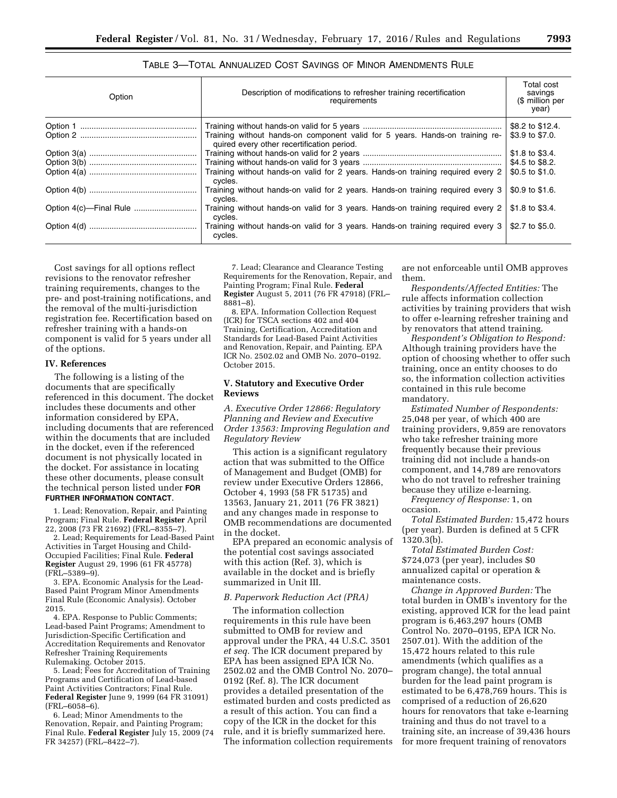| Option | Description of modifications to refresher training recertification<br>requirements                                         | Total cost<br>savings<br>(\$ million per<br>year) |
|--------|----------------------------------------------------------------------------------------------------------------------------|---------------------------------------------------|
|        |                                                                                                                            | \$8.2 to \$12.4.                                  |
|        | Training without hands-on component valid for 5 years. Hands-on training re-<br>quired every other recertification period. | \$3.9 to \$7.0.                                   |
|        |                                                                                                                            | \$1.8 to \$3.4.                                   |
|        |                                                                                                                            | \$4.5 to \$8.2.                                   |
|        | Training without hands-on valid for 2 years. Hands-on training required every 2<br>cycles.                                 | \$0.5 to \$1.0.                                   |
|        | Training without hands-on valid for 2 years. Hands-on training required every 3<br>cycles.                                 | \$0.9 to \$1.6.                                   |
|        | Training without hands-on valid for 3 years. Hands-on training required every 2<br>cycles.                                 | \$1.8 to \$3.4.                                   |
|        | Training without hands-on valid for 3 years. Hands-on training required every 3<br>cycles.                                 | \$2.7 to \$5.0.                                   |

# TABLE 3—TOTAL ANNUALIZED COST SAVINGS OF MINOR AMENDMENTS RULE

Cost savings for all options reflect revisions to the renovator refresher training requirements, changes to the pre- and post-training notifications, and the removal of the multi-jurisdiction registration fee. Recertification based on refresher training with a hands-on component is valid for 5 years under all of the options.

### **IV. References**

The following is a listing of the documents that are specifically referenced in this document. The docket includes these documents and other information considered by EPA, including documents that are referenced within the documents that are included in the docket, even if the referenced document is not physically located in the docket. For assistance in locating these other documents, please consult the technical person listed under **FOR FURTHER INFORMATION CONTACT**.

1. Lead; Renovation, Repair, and Painting Program; Final Rule. **Federal Register** April 22, 2008 (73 FR 21692) (FRL–8355–7).

2. Lead; Requirements for Lead-Based Paint Activities in Target Housing and Child-Occupied Facilities; Final Rule. **Federal Register** August 29, 1996 (61 FR 45778) (FRL–5389–9).

3. EPA. Economic Analysis for the Lead-Based Paint Program Minor Amendments Final Rule (Economic Analysis). October 2015.

4. EPA. Response to Public Comments; Lead-based Paint Programs; Amendment to Jurisdiction-Specific Certification and Accreditation Requirements and Renovator Refresher Training Requirements Rulemaking. October 2015.

5. Lead; Fees for Accreditation of Training Programs and Certification of Lead-based Paint Activities Contractors; Final Rule. **Federal Register** June 9, 1999 (64 FR 31091) (FRL–6058–6).

6. Lead; Minor Amendments to the Renovation, Repair, and Painting Program; Final Rule. **Federal Register** July 15, 2009 (74 FR 34257) (FRL–8422–7).

7. Lead; Clearance and Clearance Testing Requirements for the Renovation, Repair, and Painting Program; Final Rule. **Federal Register** August 5, 2011 (76 FR 47918) (FRL– 8881–8).

8. EPA. Information Collection Request (ICR) for TSCA sections 402 and 404 Training, Certification, Accreditation and Standards for Lead-Based Paint Activities and Renovation, Repair, and Painting. EPA ICR No. 2502.02 and OMB No. 2070–0192. October 2015.

### **V. Statutory and Executive Order Reviews**

*A. Executive Order 12866: Regulatory Planning and Review and Executive Order 13563: Improving Regulation and Regulatory Review* 

This action is a significant regulatory action that was submitted to the Office of Management and Budget (OMB) for review under Executive Orders 12866, October 4, 1993 (58 FR 51735) and 13563, January 21, 2011 (76 FR 3821) and any changes made in response to OMB recommendations are documented in the docket.

EPA prepared an economic analysis of the potential cost savings associated with this action (Ref. 3), which is available in the docket and is briefly summarized in Unit III.

# *B. Paperwork Reduction Act (PRA)*

The information collection requirements in this rule have been submitted to OMB for review and approval under the PRA, 44 U.S.C. 3501 *et seq.* The ICR document prepared by EPA has been assigned EPA ICR No. 2502.02 and the OMB Control No. 2070– 0192 (Ref. 8). The ICR document provides a detailed presentation of the estimated burden and costs predicted as a result of this action. You can find a copy of the ICR in the docket for this rule, and it is briefly summarized here. The information collection requirements

are not enforceable until OMB approves them.

*Respondents/Affected Entities:* The rule affects information collection activities by training providers that wish to offer e-learning refresher training and by renovators that attend training.

*Respondent's Obligation to Respond:*  Although training providers have the option of choosing whether to offer such training, once an entity chooses to do so, the information collection activities contained in this rule become mandatory.

*Estimated Number of Respondents:*  25,048 per year, of which 400 are training providers, 9,859 are renovators who take refresher training more frequently because their previous training did not include a hands-on component, and 14,789 are renovators who do not travel to refresher training because they utilize e-learning.

*Frequency of Response:* 1, on occasion.

*Total Estimated Burden:* 15,472 hours (per year). Burden is defined at 5 CFR 1320.3(b).

*Total Estimated Burden Cost:*  \$724,073 (per year), includes \$0 annualized capital or operation & maintenance costs.

*Change in Approved Burden:* The total burden in OMB's inventory for the existing, approved ICR for the lead paint program is 6,463,297 hours (OMB Control No. 2070–0195, EPA ICR No. 2507.01). With the addition of the 15,472 hours related to this rule amendments (which qualifies as a program change), the total annual burden for the lead paint program is estimated to be 6,478,769 hours. This is comprised of a reduction of 26,620 hours for renovators that take e-learning training and thus do not travel to a training site, an increase of 39,436 hours for more frequent training of renovators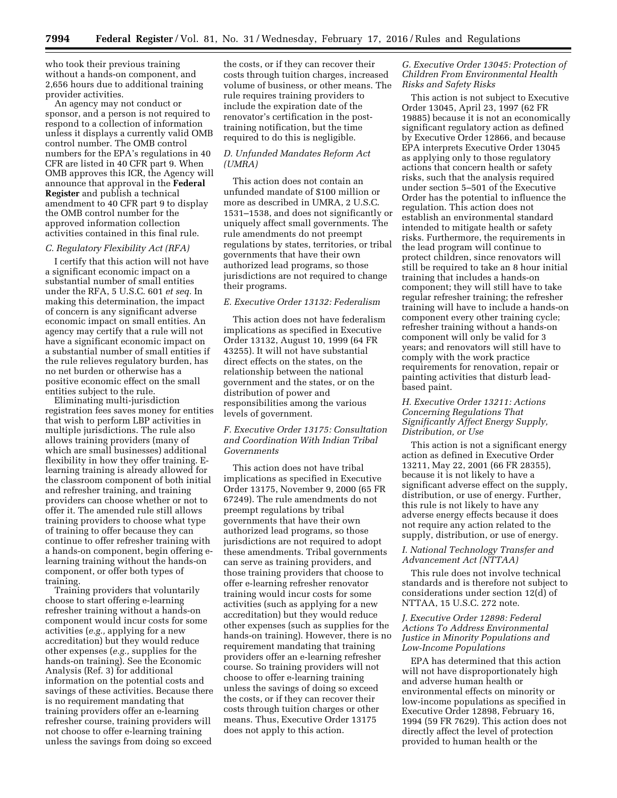who took their previous training without a hands-on component, and 2,656 hours due to additional training provider activities.

An agency may not conduct or sponsor, and a person is not required to respond to a collection of information unless it displays a currently valid OMB control number. The OMB control numbers for the EPA's regulations in 40 CFR are listed in 40 CFR part 9. When OMB approves this ICR, the Agency will announce that approval in the **Federal Register** and publish a technical amendment to 40 CFR part 9 to display the OMB control number for the approved information collection activities contained in this final rule.

## *C. Regulatory Flexibility Act (RFA)*

I certify that this action will not have a significant economic impact on a substantial number of small entities under the RFA, 5 U.S.C. 601 *et seq.* In making this determination, the impact of concern is any significant adverse economic impact on small entities. An agency may certify that a rule will not have a significant economic impact on a substantial number of small entities if the rule relieves regulatory burden, has no net burden or otherwise has a positive economic effect on the small entities subject to the rule.

Eliminating multi-jurisdiction registration fees saves money for entities that wish to perform LBP activities in multiple jurisdictions. The rule also allows training providers (many of which are small businesses) additional flexibility in how they offer training. Elearning training is already allowed for the classroom component of both initial and refresher training, and training providers can choose whether or not to offer it. The amended rule still allows training providers to choose what type of training to offer because they can continue to offer refresher training with a hands-on component, begin offering elearning training without the hands-on component, or offer both types of training.

Training providers that voluntarily choose to start offering e-learning refresher training without a hands-on component would incur costs for some activities (*e.g.,* applying for a new accreditation) but they would reduce other expenses (*e.g.,* supplies for the hands-on training). See the Economic Analysis (Ref. 3) for additional information on the potential costs and savings of these activities. Because there is no requirement mandating that training providers offer an e-learning refresher course, training providers will not choose to offer e-learning training unless the savings from doing so exceed

the costs, or if they can recover their costs through tuition charges, increased volume of business, or other means. The rule requires training providers to include the expiration date of the renovator's certification in the posttraining notification, but the time required to do this is negligible.

# *D. Unfunded Mandates Reform Act (UMRA)*

This action does not contain an unfunded mandate of \$100 million or more as described in UMRA, 2 U.S.C. 1531–1538, and does not significantly or uniquely affect small governments. The rule amendments do not preempt regulations by states, territories, or tribal governments that have their own authorized lead programs, so those jurisdictions are not required to change their programs.

### *E. Executive Order 13132: Federalism*

This action does not have federalism implications as specified in Executive Order 13132, August 10, 1999 (64 FR 43255). It will not have substantial direct effects on the states, on the relationship between the national government and the states, or on the distribution of power and responsibilities among the various levels of government.

# *F. Executive Order 13175: Consultation and Coordination With Indian Tribal Governments*

This action does not have tribal implications as specified in Executive Order 13175, November 9, 2000 (65 FR 67249). The rule amendments do not preempt regulations by tribal governments that have their own authorized lead programs, so those jurisdictions are not required to adopt these amendments. Tribal governments can serve as training providers, and those training providers that choose to offer e-learning refresher renovator training would incur costs for some activities (such as applying for a new accreditation) but they would reduce other expenses (such as supplies for the hands-on training). However, there is no requirement mandating that training providers offer an e-learning refresher course. So training providers will not choose to offer e-learning training unless the savings of doing so exceed the costs, or if they can recover their costs through tuition charges or other means. Thus, Executive Order 13175 does not apply to this action.

## *G. Executive Order 13045: Protection of Children From Environmental Health Risks and Safety Risks*

This action is not subject to Executive Order 13045, April 23, 1997 (62 FR 19885) because it is not an economically significant regulatory action as defined by Executive Order 12866, and because EPA interprets Executive Order 13045 as applying only to those regulatory actions that concern health or safety risks, such that the analysis required under section 5–501 of the Executive Order has the potential to influence the regulation. This action does not establish an environmental standard intended to mitigate health or safety risks. Furthermore, the requirements in the lead program will continue to protect children, since renovators will still be required to take an 8 hour initial training that includes a hands-on component; they will still have to take regular refresher training; the refresher training will have to include a hands-on component every other training cycle; refresher training without a hands-on component will only be valid for 3 years; and renovators will still have to comply with the work practice requirements for renovation, repair or painting activities that disturb leadbased paint.

## *H. Executive Order 13211: Actions Concerning Regulations That Significantly Affect Energy Supply, Distribution, or Use*

This action is not a significant energy action as defined in Executive Order 13211, May 22, 2001 (66 FR 28355), because it is not likely to have a significant adverse effect on the supply, distribution, or use of energy. Further, this rule is not likely to have any adverse energy effects because it does not require any action related to the supply, distribution, or use of energy.

## *I. National Technology Transfer and Advancement Act (NTTAA)*

This rule does not involve technical standards and is therefore not subject to considerations under section 12(d) of NTTAA, 15 U.S.C. 272 note.

## *J. Executive Order 12898: Federal Actions To Address Environmental Justice in Minority Populations and Low-Income Populations*

EPA has determined that this action will not have disproportionately high and adverse human health or environmental effects on minority or low-income populations as specified in Executive Order 12898, February 16, 1994 (59 FR 7629). This action does not directly affect the level of protection provided to human health or the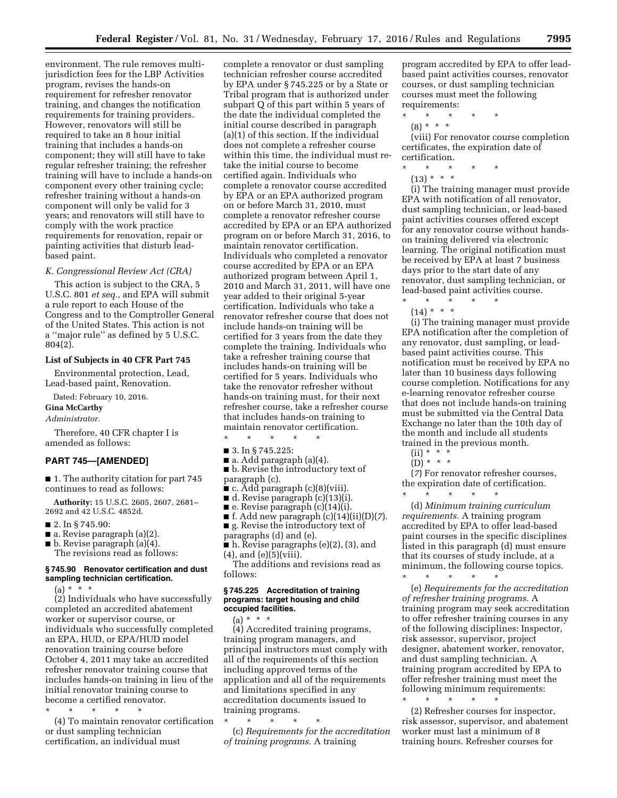environment. The rule removes multijurisdiction fees for the LBP Activities program, revises the hands-on requirement for refresher renovator training, and changes the notification requirements for training providers. However, renovators will still be required to take an 8 hour initial training that includes a hands-on component; they will still have to take regular refresher training; the refresher training will have to include a hands-on component every other training cycle; refresher training without a hands-on component will only be valid for 3 years; and renovators will still have to comply with the work practice requirements for renovation, repair or painting activities that disturb leadbased paint.

## *K. Congressional Review Act (CRA)*

This action is subject to the CRA, 5 U.S.C. 801 *et seq.,* and EPA will submit a rule report to each House of the Congress and to the Comptroller General of the United States. This action is not a ''major rule'' as defined by 5 U.S.C. 804(2).

# **List of Subjects in 40 CFR Part 745**

Environmental protection, Lead, Lead-based paint, Renovation.

Dated: February 10, 2016.

**Gina McCarthy**  *Administrator.* 

Therefore, 40 CFR chapter I is amended as follows:

## **PART 745—[AMENDED]**

■ 1. The authority citation for part 745 continues to read as follows:

**Authority:** 15 U.S.C. 2605, 2607, 2681– 2692 and 42 U.S.C. 4852d.

- 2. In § 745.90:
- $\blacksquare$  a. Revise paragraph (a)(2).
- b. Revise paragraph (a)(4). The revisions read as follows:

### **§ 745.90 Renovator certification and dust sampling technician certification.**

 $(a) * * * *$ 

(2) Individuals who have successfully completed an accredited abatement worker or supervisor course, or individuals who successfully completed an EPA, HUD, or EPA/HUD model renovation training course before October 4, 2011 may take an accredited refresher renovator training course that includes hands-on training in lieu of the initial renovator training course to become a certified renovator.

\* \* \* \* \*

(4) To maintain renovator certification or dust sampling technician certification, an individual must

complete a renovator or dust sampling technician refresher course accredited by EPA under § 745.225 or by a State or Tribal program that is authorized under subpart Q of this part within 5 years of the date the individual completed the initial course described in paragraph (a)(1) of this section. If the individual does not complete a refresher course within this time, the individual must retake the initial course to become certified again. Individuals who complete a renovator course accredited by EPA or an EPA authorized program on or before March 31, 2010, must complete a renovator refresher course accredited by EPA or an EPA authorized program on or before March 31, 2016, to maintain renovator certification. Individuals who completed a renovator course accredited by EPA or an EPA authorized program between April 1, 2010 and March 31, 2011, will have one year added to their original 5-year certification. Individuals who take a renovator refresher course that does not include hands-on training will be certified for 3 years from the date they complete the training. Individuals who take a refresher training course that includes hands-on training will be certified for 5 years. Individuals who take the renovator refresher without hands-on training must, for their next refresher course, take a refresher course that includes hands-on training to maintain renovator certification.

- 3. In § 745.225:
- a. Add paragraph (a)(4).

\* \* \* \* \*

- b. Revise the introductory text of paragraph (c).
- $\bullet$  c. Add paragraph (c)(8)(viii).
- d. Revise paragraph (c)(13)(i).
- e. Revise paragraph (c)(14)(i).
- f. Add new paragraph (c)(14)(ii)(D)(*7*).
- g. Revise the introductory text of
- paragraphs (d) and (e).
- h. Revise paragraphs (e)(2), (3), and  $(4)$ , and  $(e)(5)(viii)$ .

The additions and revisions read as follows:

### **§ 745.225 Accreditation of training programs: target housing and child occupied facilities.**

 $(a) * * * *$ (4) Accredited training programs, training program managers, and principal instructors must comply with all of the requirements of this section including approved terms of the application and all of the requirements and limitations specified in any accreditation documents issued to training programs.

\* \* \* \* \* (c) *Requirements for the accreditation of training programs.* A training

program accredited by EPA to offer leadbased paint activities courses, renovator courses, or dust sampling technician courses must meet the following requirements:

- \* \* \* \* \*
- (8) \* \* \*

(viii) For renovator course completion certificates, the expiration date of certification.

- \* \* \* \* \*
- $(13) * * * *$

(i) The training manager must provide EPA with notification of all renovator, dust sampling technician, or lead-based paint activities courses offered except for any renovator course without handson training delivered via electronic learning. The original notification must be received by EPA at least 7 business days prior to the start date of any renovator, dust sampling technician, or lead-based paint activities course.

\* \* \* \* \*  $(14) * * * *$ 

(i) The training manager must provide EPA notification after the completion of any renovator, dust sampling, or leadbased paint activities course. This notification must be received by EPA no later than 10 business days following course completion. Notifications for any e-learning renovator refresher course that does not include hands-on training must be submitted via the Central Data Exchange no later than the 10th day of the month and include all students trained in the previous month.

 $(ii) * * * *$ 

 $(D) * * * *$ 

(*7*) For renovator refresher courses, the expiration date of certification.

\* \* \* \* \* (d) *Minimum training curriculum requirements.* A training program accredited by EPA to offer lead-based paint courses in the specific disciplines listed in this paragraph (d) must ensure that its courses of study include, at a minimum, the following course topics.

\* \* \* \* \* (e) *Requirements for the accreditation of refresher training programs.* A training program may seek accreditation to offer refresher training courses in any of the following disciplines: Inspector, risk assessor, supervisor, project designer, abatement worker, renovator, and dust sampling technician. A training program accredited by EPA to offer refresher training must meet the following minimum requirements: \* \* \* \* \*

(2) Refresher courses for inspector, risk assessor, supervisor, and abatement worker must last a minimum of 8 training hours. Refresher courses for